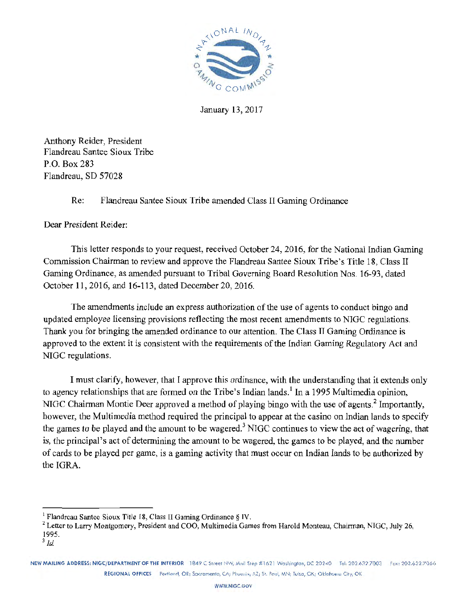

January 13, 2017

Anthony Reider, President Flandreau Santee Sioux Tribe P.O. Box 283 Flandreau, SD 57028

#### Re: Flandreau Santee Sioux Tribe amended Class II Gaming Ordinance

Dear President Reider:

This letter responds to your request, received October 24, 2016, for the National Indian Gaming Commission Chairman to review and approve the Flandreau Santee Sioux Tribe's Title 18, Class II Gaming Ordinance, as amended pursuant to Tribal Governing Board Resolution Nos. 16-93, dated October 11, 2016, and 16-113, dated December 20, 2016.

The amendments include an express authorization of the use of agents to conduct bingo and updated employee licensing provisions reflecting the most recent amendments to NIGC regulations. Thank you for bringing the amended ordinance to our attention. The Class II Gaming Ordinance is approved to the extent it is consistent with the requirements of the Indian Gaming Regulatory Act and NIGC regulations.

I must clarify, however, that I approve this ordinance, with the understanding that it extends only to agency relationships that are formed on the Tribe's Indian lands.<sup>1</sup> In a 1995 Multimedia opinion, NIGC Chairman Montie Deer approved a method of playing bingo with the use of agents.<sup>2</sup> Importantly, however, the Multimedia method required the principal to appear at the casino on Indian lands to specify the games to be played and the amount to be wagered.<sup>3</sup> NIGC continues to view the act of wagering, that is, the principal's act of determining the amount to be wagered, the games to be played, and the number of cards to be played per game, is a gaming activity that must occur on Indian lands to be authorized by the IGRA.

NEW MAILING ADDRESS: NIGC/DEPARTMENT OF THE INTERIOR 1849 C Street NW, Mail Stop #1621 Washington, DC 20240 Tel: 202.632.7003 Fax: 202.632.7066 REGIONAL OFFICES Portland, OR; Sacramento, CA; Phoenix, AZ; St. Paul, MN; Tulsa, OK; Oklahoma City, OK

<sup>&</sup>lt;sup>1</sup> Flandreau Santee Sioux Title 18, Class II Gaming Ordinance § IV.<br><sup>2</sup> Letter to Larry Montgomery, President and COO, Multimedia Games from Harold Monteau, Chairman, NIGC, July 26, 1995.

<sup>3</sup> *Id.*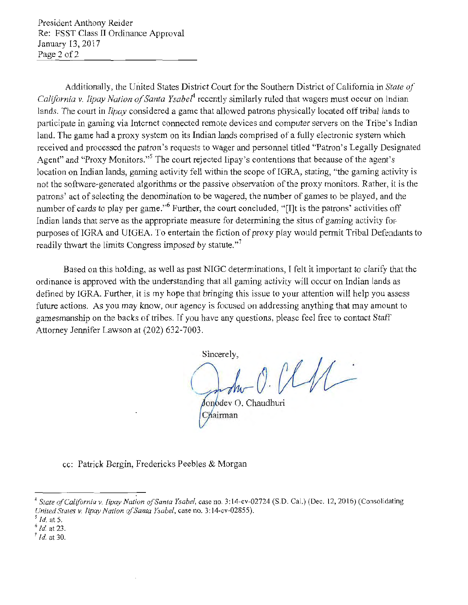President Anthony Reider Re: PSST Class II Ordinance Approval January 13, 2017 Page 2 of 2

Additionally, the United States District Court for the Southern District of California in *State of California* v. *lipay Nation of Santa Ysaber4* recently similarly ruled that wagers must occur on Indian lands. The court in *lipay* considered a game that allowed patrons physically located off tribal lands to participate in gaming via Internet connected remote devices and computer servers on the Tribe's Indian land. The game had a proxy system on its Indian lands comprised of a fully electronic system which received and processed the patron's requests to wager and personnel titled "Patron's Legally Designated Agent" and "Proxy Monitors."<sup>5</sup> The court rejected lipay's contentions that because of the agent's location on Indian lands, gaming activity fell within the scope of IGRA, stating, "the gaming activity is not the software~generated algoritluns or the passive observation of the proxy monitors. Rather, it is the patrons' act of selecting the denomination to be wagered, the number of games to be played, and the number of cards to play per game."<sup>6</sup> Further, the court concluded, "[I]t is the patrons' activities off Indian lands that serve as the appropriate measure for determining the situs of gaming activity for. purposes of IGRA and UIGEA. To entertain the fiction of proxy play would permit Tribal Defendants to readily thwart the limits Congress imposed by statute."<sup>7</sup>

Based on this holding, as well as past NIGC determinations, I felt it important to clarify that the ordinance is approved with the understanding that all gaming activity will occur on Indian lands as defined by IGRA. Further, it is my hope that bringing this issue to your attention will help you assess future actions. As you may know, our agency is focused on addressing anything that may amount to gamesmanship on the backs of tribes. If you have any questions, please feel free to contact Staff Attorney Jennifer Lawson at (202) 632-7003.

Sincerely, *o.* 

cc: Patrick Bergin, Fredericks Peebles & Morgan

Chairman

<sup>&</sup>lt;sup>4</sup> State of California v. *Iipay Nation of Santa Ysabel*, case no. 3:14-cv-02724 (S.D. Cal.) (Dec. 12, 2016) (Consolidating *United States v. Iipay Nation of Santa Ysabel, case no.* 3:14-cv-02855).<br><sup>5</sup> *Id.* at 5. 6 *Id.* at 23. *7 Id.* at 30.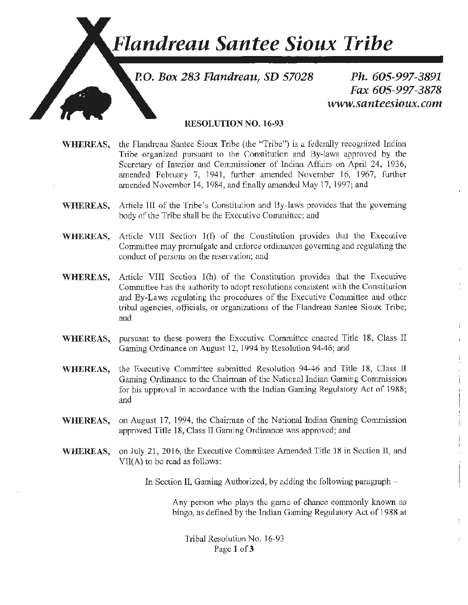## **Flandreau Santee Sioux Tribe**

P.O. Box 283 Flandreau, SD 57028

Ph. 605-997-3891 Fax 605-997-3878 www.santeesioux.com

÷

#### RESOLUTION NO. 16-93

- \VHEREAS, the Flandreau Santee *Sioux* Tribe (the "Tribe") is a foderally recognized Indian Tribe organized pursuant to the Constitution and By-laws approved by the Secretary of Interior and Commissioner of Indian Affairs on April 24, 1936, amended February 7, 1941, further amended November 16, 1967, fwther amended November 14, 1984, and finally amended May 17, 1997; and
- WHEREAS. Article III of the Tribe's Constitution and By-laws provides that the governing body of the Tribe shall be the Executive Committee; and
- WHEREAS, Article VIII Section 1(f) of the Constitution provides that the Executive Committee may promulgate and enforce ordimmces governing and regulating the conduct of persons on the reservation; and
- WHEREAS, Article VIII Section 1(h) of the Constitution provides that the Executive Committee has the authority to adopt resolutions consistent with the Constitution and By-Laws regulating the procedures of the Executive Committee and other tribal agencies, officials, or organizations of the Flandreau Santee Sioux Tribe; and
- WHEREAS, pursuant to these powers the Executive Committee enacted Title 18, Class II Gaming Ordinance on August 12, 1994 by Resolution 94-46; and
- WHEREAS, the Executive Committee submitted Resolution 94-46 and Title 18, Class II Gaming Ordinance to the Chairman of the National Indian Gaming Commission for his approval in accordance with the Indian Gaming Regulatory Act of 1988; and
- WHEREAS, on August 17, 1994, the Chairman of the National Indian Gaming Commission approved Title 18, Class II Gaming Ordinance was approved; and
- WHEREAS, on July 21, 2016, the Executive Committee Amended Title )8 in Section 11, and VII(A) to be read as follows:

In Section II. Gaming Authorized, by adding the following paragraph  $-$ 

Any person who plays the game of chance commonly known as bingo, as defined by the Indian Gaming Regulatory Act of 1988 at

Tribal Resolution No. 16-93 Page 1 of 3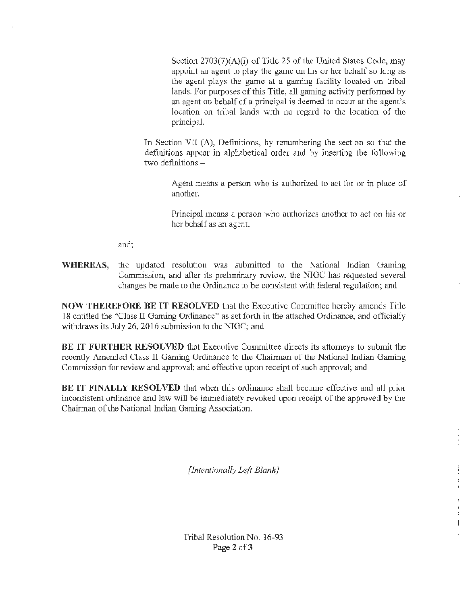Section  $2703(7)(\Lambda)(i)$  of Title 25 of the United States Code, may appoint an agent to play the game on his or her behalf so long as the agent plays the game at a gaming facility located on tribaJ lands. For purposes of this Title, all gaming activity performed by an agent on behalf of a principal is deemed to occur at the agent's location on tribal lands with no regard to the location of the principal.

In Section VII  $(A)$ , Definitions, by renumbering the section so that the definitions appear in alphabetical order and by inserting the following two definitions  $-$ 

> Agent means a person who is authorized to act for or in place of another.

> Principal means a person who authorizes another to act on his or her behalf as an agent.

> > $\mathbf{I}$ Ť.

 $\frac{1}{2}$ 

 $\mathbf{I}$ 

and;

I

**WHEREAS,** the updated resolution was submitted to the National Indian Gaming Commission, and after its preliminary review, the NIGC has requested several changes be made to the Ordinance to be consistent with federal regulation; and

**NOW THEREFORE BE IT RESOLVED** that the Executive Committee hereby amends Title 18 entitled the "Class II Gaming Ordinance" as set forth in the attached Ordinance, and officially withdraws its July 26, 2016 submission to the NIGC; and

**BE IT FURTHER RESOLVED** that Executive Committee directs its attorneys to submit the recently Amended Class II Gaming Ordinance to the Chairman of the National Indian Gaming Commission for review and approval; and effective upon receipt of such approval; and

**BE IT FINALLY RESOLVED** that when *this* ordinance shall become effective and all prior inconsistent ordinance and law will be immediately revoked upon receipt of the approved by the Chairman of the National Indian Gaming Association.

*[Intentionally Left Blank]* 

Tribal Resolution No. 16-93 Page 2 of 3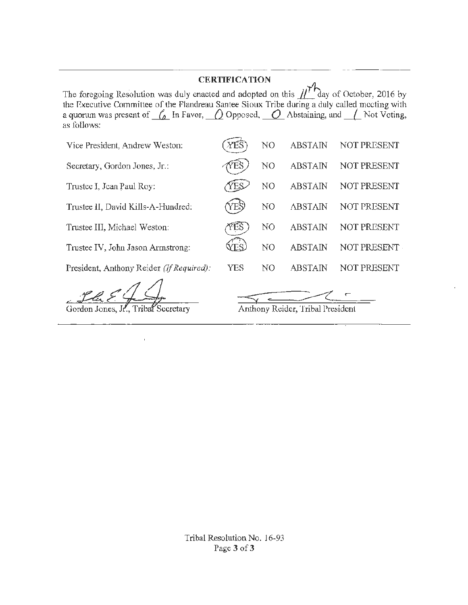## **CERTIFICATION**

The foregoing Resolution was duly enacted and adopted on this  $\iiint$  day of October, 2016 by the Executive Committee of the Flandreau Santee Sioux Tribe during a duly called meeting witb a quorum was present of  $\frac{r}{\Delta}$  In Favor,  $\frac{r}{\Delta}$  Opposed,  $\frac{r}{\Delta}$  Abstaining, and  $\frac{r}{\Delta}$  Not Voting, as follows:

| Vice President, Andrew Weston:           | YES | N <sub>O</sub> | <b>ABSTAIN</b>                   | NOT PRESENT |
|------------------------------------------|-----|----------------|----------------------------------|-------------|
| Secretary, Gordon Jones, Jr.:            |     | N <sub>O</sub> | <b>ABSTAIN</b>                   | NOT PRESENT |
| Trustee I, Jean Paul Roy:                | ΈS  | N <sub>O</sub> | <b>ABSTAIN</b>                   | NOT PRESENT |
| Trustee II, David Kills-A-Hundred:       | Е   | N <sub>O</sub> | <b>ABSTAIN</b>                   | NOT PRESENT |
| Trustee III, Michael Weston:             |     | N <sub>O</sub> | <b>ABSTAIN</b>                   | NOT PRESENT |
| Trustee IV, John Jason Armstrong:        |     | N <sub>O</sub> | <b>ABSTAIN</b>                   | NOT PRESENT |
| President, Anthony Reider (If Required): | YES | N <sub>O</sub> | <b>ABSTAIN</b>                   | NOT PRESENT |
| Gordon Jones, Jr., Tribal Secretary      |     |                | Anthony Reider, Tribal President |             |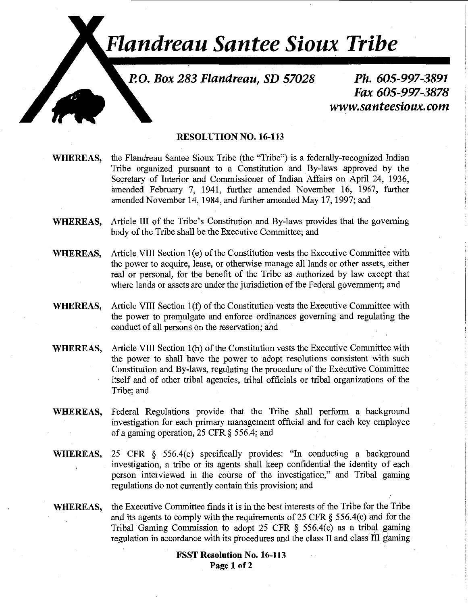# *Flandreau Santee Sioux Tribe*

**P.O. Box 283 Flandreau, SD 57028** 

**Ph. 605-997-3891 Fax 605-997-3878 www.santeesioux.com** 

#### **RESOLUTIONN0.16-113**

- WHEREAS, the Flandreau Santee Sioux Tribe (the "Tribe") is a federally-recognized Indian Tribe organized pursuant to a Constitution and By-laws approved by the Secretary of Interior and Commissioner of Indian Affairs on April 24, 1936, amended February 7, 1941, further amended November 16, 1967, further amended November 14, 1984, and further amended May 17, 1997; and
- **WHEREAS,** Article III of the Tribe's Constitution and By-laws provides that the governing body of the Tribe shall be the Executive Committee; and
- WHEREAS, Article VIII Section 1(e) of the Constitution vests the Executive Committee with the power to acquire, lease, or otherwise manage all lands or other assets, either real or personal, for the benefit of the Tribe as authorized by law except that where lands or assets are under the jurisdiction of the Federal government; and
- **WHEREAS,** Article VIII Section 1(f) of the Constitution vests the Executive Committee with the power to promulgate and enforce ordinances governing and regulating the conduct of all persons on the reservation; and
- **WHEREAS,** Article VIII Section l(h) of the Constitution vests the Executive Committee with the power to shall have the power to adopt resolutions consistent with such Constitution and By-laws, regulating the procedure of the Executive Committee itself and of other tribal agencies, tribal officials or tribal organizations of the Tribe; and
- **WHEREAS,** Federal Regulations provide that the Tribe shall perform a background investigation for each primary management official and for each key employee of a gaming operation, 25 CFR § 556.4; and
- **WHEREAS,** 25 CFR § 556.4(c) specifically provides: "In conducting a background investigation, a tribe or its agents shall keep confidential the identity of each person interviewed in the course of the investigation," and Tribal gaming regulations do not currently contain this provision; and
- WHEREAS, the Executive Committee finds it is in the best interests of the Tribe for the Tribe and its agents to comply with the requirements of25 CFR § 556.4(c) and for the Tribal Gaming Commission to adopt 25 CFR  $\S$  556.4(c) as a tribal gaming regulation in accordance with its procedures and the class II and class III gaming

#### **FSST Resolution No. 16-113 Page 1 of2**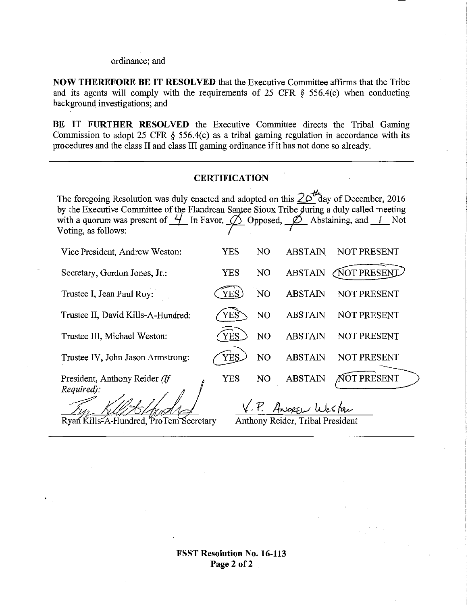ordinance; and

**NOW THEREFORE BE IT RESOLVED** that the Executive Committee affirms that the Tribe and its agents will comply with the requirements of 25 CFR § 556.4(c) when conducting background investigations; and

**BE IT FURTHER RESOLVED** the Executive Committee directs the Tribal Gaming Commission to adopt 25 CFR  $\S$  556.4(c) as a tribal gaming regulation in accordance with its procedures and the class II and class III gaming ordinance if it has not done so already.

#### **CERTIFICATION**

| The foregoing Resolution was duly enacted and adopted on this $2010$ day of December, 2016<br>by the Executive Committee of the Flandreau Santee Sioux Tribe during a duly called meeting<br>with a quorum was present of $\frac{1}{1}$ In Favor, $\oslash$ Opposed, $\oslash$ Abstaining, and $\perp$ Not<br>Voting, as follows: |            |                |                |                    |  |  |  |
|-----------------------------------------------------------------------------------------------------------------------------------------------------------------------------------------------------------------------------------------------------------------------------------------------------------------------------------|------------|----------------|----------------|--------------------|--|--|--|
| Vice President, Andrew Weston:                                                                                                                                                                                                                                                                                                    | YES        | N <sub>O</sub> | <b>ABSTAIN</b> | NOT PRESENT        |  |  |  |
| Secretary, Gordon Jones, Jr.:                                                                                                                                                                                                                                                                                                     | <b>YES</b> | NO             | <b>ABSTAIN</b> | <b>NOT PRESENT</b> |  |  |  |
| Trustee I, Jean Paul Roy:                                                                                                                                                                                                                                                                                                         | <b>YES</b> | N <sub>O</sub> | <b>ABSTAIN</b> | NOT PRESENT        |  |  |  |
| Trustee II, David Kills-A-Hundred:                                                                                                                                                                                                                                                                                                | YES        | N <sub>O</sub> | <b>ABSTAIN</b> | NOT PRESENT        |  |  |  |
| Trustee III, Michael Weston:                                                                                                                                                                                                                                                                                                      | YES        | NO             | <b>ABSTAIN</b> | NOT PRESENT        |  |  |  |
| Trustee IV, John Jason Armstrong:                                                                                                                                                                                                                                                                                                 | <b>YES</b> | NO             | <b>ABSTAIN</b> | NOT PRESENT        |  |  |  |
| President, Anthony Reider (If                                                                                                                                                                                                                                                                                                     | YES        | NO.            | <b>ABSTAIN</b> | AOT PRESENT        |  |  |  |
| Required):<br>V.P. ANOREW Wester                                                                                                                                                                                                                                                                                                  |            |                |                |                    |  |  |  |
| Ryan Kills-A-Hundred, 'ProTem Secretary<br>Anthony Reider, Tribal President                                                                                                                                                                                                                                                       |            |                |                |                    |  |  |  |

**FSST Resolution** No. **16-113 Page2 of2**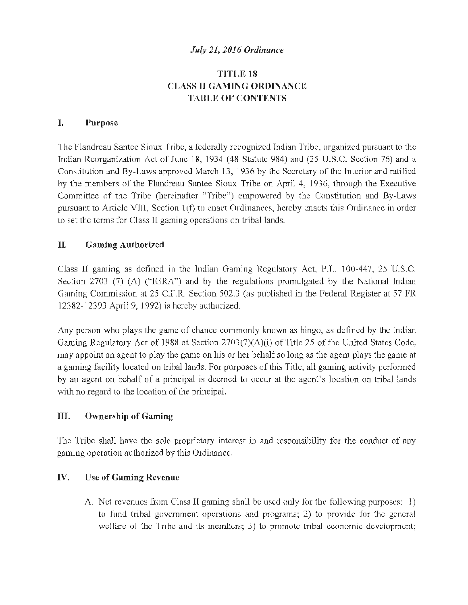#### *July 21, 2016 Ordinance*

#### TITJ,E 18 CLASS II GAMING ORDINANCE **TABLE OF CONTENTS**

#### I. Purpose

The Flandreau Santee Sioux Tribe, a federally recognized Indian Tribe, organized pursuant to the Indian Reorganization Act of June 18, 1934 ( 48 Statute 984) and (25 U.S.C. Section 76) and a Constitution and Dy-Laws approved March 13, 1936 by the Secretary of the Interior and ratified by the members of the Flandreau Santee Sioux Tribe on April 4, 1936, through the Executive Committee of the Tribe (hereinafter "Tribe") empowered by the Constitution and By-Laws pursuant to Article VIII, Section 1(f) to enact Ordinances, hereby enacts this Ordinance in order to set the terms for Class 11 gaming operations on tribal lands.

#### II. Gaming Authorized

Class II gaming as defined in the Indian Gaming Regulatory Act, P.L. 100-447, 25 U.S.C. Section 2703 (7) ( $\Lambda$ ) ("IGRA") and by the regulations promulgated by the National Indian Gaming Commission at 25 C.F.R. Section 502.3 (as published in the Federal Register at 57 FR 12382-12393 April 9, 1992) is hereby authorized.

Any person who plays the game of chance commonly known as bingo, as defined by the Indian Gaming Regulatory Act of 1988 at Section 2703(7)(A)(i) of Title 25 of the United States Code, may appoint an agent to play the game on his or her behalf so long as the agent plays the game at a gaming facility located on tribal lands. For purposes of this Title, all gaming activity performed by an agent on behalf of a principal is deemed to occur at the agent's location on tribal lands with no regard to the location of the principal.

#### III. Ownership of Gaming

The Tribe shall have the sole proprietary interest in and responsibility for the conduct of any gaming operation authorized by this Ordinance.

#### IV. Use of Gaming Revenue

A. Net revenues from Class II gaming shall be used only for the following purposes: I) to fund tribal government operations and programs; 2) to provide for the general welfare of the Tribe and its members; 3) to promote tribal economic development;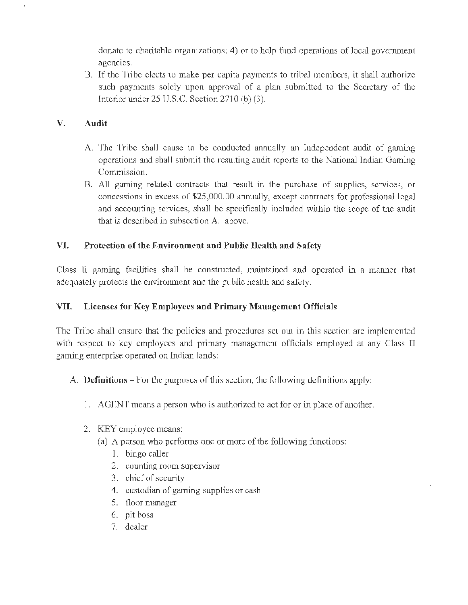donate to charitable organizations; 4) or to help fund operations of local government agencies.

B. If the Trihe elects to make per capita payments to tribal members, it shall authorize such payments solely upon approval of a plan submitted to the Secretary of the lntcrior under 25 U.S.C. Section 2710 (b) (3).

## V. Audit

- A. The Tribe shall cause to be conducted annually an independent audit of gaming operations and shall submit the resulting audit reports to the l\ational Indian Gaming Commission.
- B. All gaming related contracts that result in the purchase of supplies, services, or concessions in excess of \$25,000.00 annually, except contracts for professional legal and accounting services, shall he specifically included within the scope of the audit that is described in subsection A. above.

#### VI. Protection of the Rnvironment and Public Health and Safety

Class II gaming facilities shall be constructed, maintained and operated in a manner that adequately protects the environment and the public health and safety.

#### VII. Licenses for Key Employees and Primary Mauagement Officials

The Tribe shall ensure that the policies and procedures set out in this section are implemented with respect to key employees and primary management officials employed at any Class II gaming enterprise operated on Indian lands:

- A. **Definitions**  $-$  For the purposes of this section, the following definitions apply:
	- J. AGENT means a person who is authorized to act for or in place of another.
	- 2. KEY employee means:
		- (a) A person who performs one or more of the following functions:
			- 1. bingo caller
			- 2. counting room supervisor
			- 3. chief of security
			- 4. custodian of gaming supplies or cash
			- 5. floor manager
			- 6. pit boss
			- 7. dealer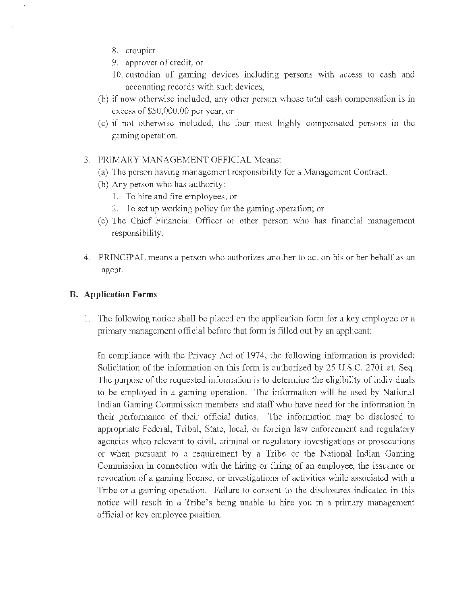- 8. croupier
- 9. approver of credit, or
- 10. custodian of gaming devices including persons with access to cash and accounting records with such devices,
- (b) if now otherwise included, any other person whose total cash compensation is in excess of \$50,000.00 per year, or
- (c) if not otherwise included, the four most highly compensated persons in the gaming operation.

#### 3. PRIMARY MANAGEMENT OFFICIAL Means:

- (a) The person having management responsibility for a \1anagemcnt Contract.
- (b) Any person who has authority:
	- 1. To hire and fire employees; or
	- 2. To set up working policy for the gaming operation; or
- (c) The Chief Financial Officer or other person who has financial management responsibility.
- 4. PRINCIPAL means a person who authorizes another to act on his or her behalf as an agent.

#### B. Application Forms

1. The following notice shall be placed on the application form for a key employee or a primary management official before that form is filled out by an applicant:

In compliance with the Privacy Act of 1974, the following information is provided: Solicitation of the information on this form is authorized by 25 U.S.C. 2701 at. Seq. The purpose of the requested information is to determine the eligibility of individuals to be employed in a gaming operation. The information will be used by National Indian Gaming Commission members and staff who have need for the information in their performance of their official duties. The information may be disclosed to appropriate Federal, Tribal, State, local, or foreign law enforcement and regulatory agencies when relevant to civil, criminal or regulatory investigations or prosecutions or when pursuant to a requirement by a Tribe or the National Indian Gaming Commission in connection with the hiring or firing of an employee, the issuance or revocation of a gaming license, or investigations of activities while associated with a Tribe or a gaming operation. failure to consent to the disclosures indicated in this notice will result in a Tribe's being unable to hire you in a primary management official or key employee position.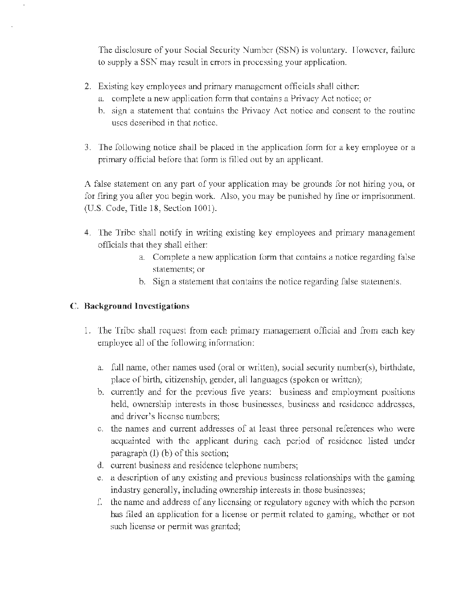The disclosure of your Social Security Number (SSN) is voluntary. However, failure to supply a SSN may result in errors in processing your application.

- 2. Existing key employees and primary management officials shall either:
	- a. complete a new application form that contains a Privacy Act notice; or
	- h. sign a statement that contains the Privacy Act notice and consent to the routine uses described in that notice.
- 3. The following notice shall be placed in the application form for a key employee or a primary official before that form is filled out by an applicant.

A false statement on any part of your application may be grounds for not hiring you, or for firing you after you begin work. Also, you may be punished by fine or imprisonment. (U.S. Code, Title 18, Section 1001).

- 4. The Tribe shall notify in writing existing key employees and primary management officials that they shall either:
	- a. Complete a new application form that contains a notice regarding false statements; or
	- b. Sign a statement that contains the notice regarding false statements.

#### C. Background Investigations

- 1. 'lbe Tribe shall request from each primary management official and from each key employee all of the following information:
	- a. full name, other names used (oral or written), social security numher(s), birthdate, place of birth, citizenship, gender, all languages (spoken or written);
	- b. currently and for the previous five years: business and employment positions held, ownership interests in those businesses, business and residence addresses, and driver's license numbers:
	- c. the names and current addresses of at least three personal references who were acquainted with the applicant during each period of residence listed under paragraph (l) (b) of this section;
	- d. current business and residence telephone numbers;
	- e. a description of any existing and previous business relationships with the gaming industry generally, including ownership interests in those businesses;
	- f. the name and address of any licensing or regulatory agency with which the person has filed an application for a license or permit related to gaming, whether or not such license or permit was granted;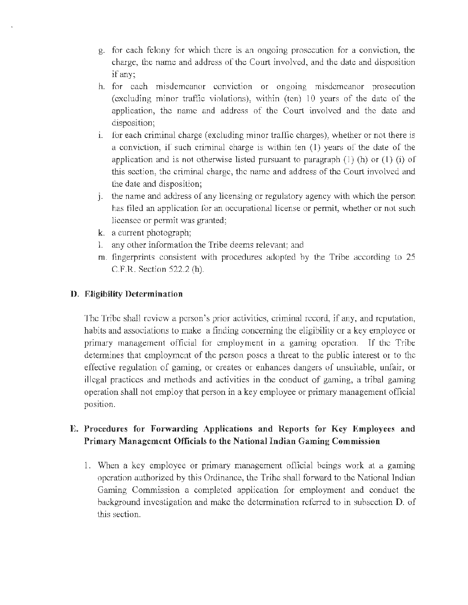- g. for each felony for which there is an ongoing prosecution for a conviction, the charge, the name and address of the Comt involved, and the date and disposition if any;
- h. for each misdemeanor conviction or ongoing misdemeanor prosecution (excluding minor traffic violations), within (ten)  $10$  years of the date of the application, the name and address of the Court involved and the date and disposition;
- i. for each criminal charge (excluding minor traffic charges), whether or not there is a conviction, if such criminal charge is within ten (1) years of the date of the application and is not otherwise listed pursuant to paragraph  $(1)$  (h) or  $(1)$  (i) of this section, the criminal charge, the name and address of the Court involved and the date and disposition;
- J. the name and address of any licensing or regulatory agency with which the person has filed an application for an occupational license or permit, whether or not such licensee or permit was granted;
- k. a current photograph;
- 1. any other information the Tribe deems relevant; and
- m. fingerprints consistent with procedures adopted by the Tribe according to 25 C.F.R. Section 522.2 (h).

## D. Eligibility Determination

The Tribe shall review a person's prior activities, criminal record, if any, and reputation, habits and associations to make a finding concerning the eligibility or a key employee or primary management official for employment in a gaming operation. Tf the Tribe determines that employment of the person poses a threat to the public interest or to the effective regulation of gaming, or creates or enhances dangers of unsuitable, unfair, or illegal practices and methods and activities in the conduct of gaming, a tribal gaming operation shall not employ that person in a key employee or primary management official position.

## E. Procedures for Forwarding Applications and Hcports for Key Employees and Primary Management Officials to the National Indian Gaming Commission

1. When a key employee or primary management official beings work at a gaming operation authorized by this Ordinance, the Tribe shall forward to the National Tndian Gaming Commission a completed application for employment and conduct the background investigation and make the determination referred to in subsection D. of this section.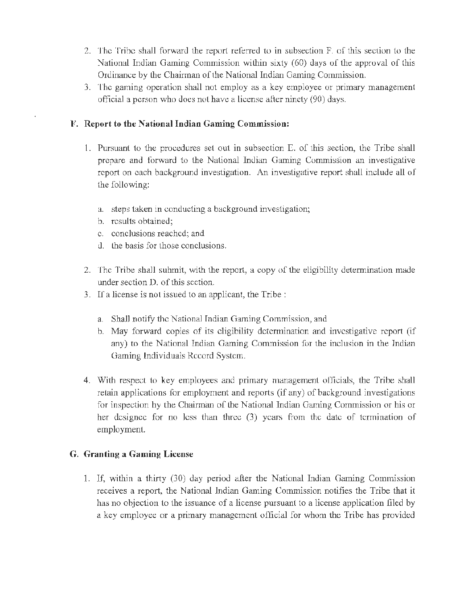- 2. The Tribe shall forward the report refoned to in subsection F. of this section to the >Jational Indian Gaming Commission within sixty (60) days of the approval of this Ordinance by the Chairman of the National Indian Gaming Commission.
- 1. The gaming operation shall not employ as a key employee or primary management official a person who does not have a license after ninety (90) days.

#### F. Report to the National Indian Gaming Commission:

- 1. Pursuant to the procedures set out in subsection E. of this section, the Tribe shall prepare and forward to the National Indian Gaming Commission an investigative report on each background investigation. An investigative report shall include all of the following:
	- a. steps taken in conducting a background investigation;
	- h. results obtained;
	- c. conclusions reached; and
	- d. the basis for those conclusions.
- 2. The Tribe shall submit, with the report, a copy of the eligibility determination made under section D. of this section.
- 3. If a license is not issued to an applicant, the Tribe :
	- a. Shall notify the National Indian Gaming Commission, and
	- b. May forward copies of its eligibility dctennination and investigative report (if any) to the National Indian Gaming Commission for the inclusion in the Indian Gaming Individuals Record System.
- 4. With respect to key employees and primary management officials, the Tribe shall retain applications for employment and reports (if any) of background investigations for inspection by the Chairman of the National Indian Gaming Commission or his or her dcsigncc for no Jess than three (3) years from the date of termination of employment.

#### G. Granting a Gaming License

1. If, within a thirty  $(30)$  day period after the National Indian Gaming Commission receives a report, the National Indian Gaming Commission notifies the Tribe that it has no objection to the issuance of a license pursuant to a license application filed by a key employee or a primary management official for whom the Tribe has provided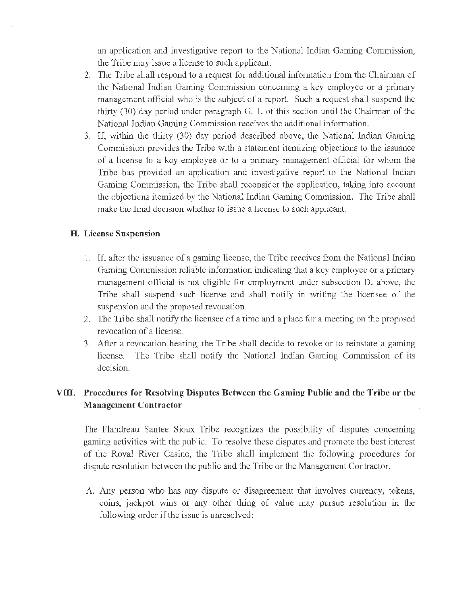an application and investigative report to the National Indian Gaming Commission, the Tribe may issue a license to such applicant.

- 2. The Tribe shall respond to a request for additional information from the Chairman of the National Indian Gaming Commission concerning a key employee or a primary management official who is the subject of a report. Such a request shall suspend the thirty  $(30)$  day period under paragraph G. 1. of this section until the Chairman of the National Indian Gaming Commission receives the additional information.
- 3. If, within the thirty (30) day period described above, the National Indian Gaming Commission provides the Tribe with a statement itemizing objections to the issuance of a license to a key employee or to a primary management official for whom the Tribe has provided an application and investigative report lo the National Indian Gaming Commission, the Tribe shall reconsider the application, taking into account the objections itemized by the National Indian Gaming Commission. The Tribe shall make the final decision whether to issue a license to such applicant.

#### H. License Suspension

- 1. If, after the issuance of a gaming license, the Tribe receives from the National Indian Gaming Commission reliable information indicating that a key employee or a primary management official is not eligible for employment under subsection D. above, the Tribe shall suspend such license and shall notify in writing the licensee of the suspension and the proposed revocation.
- 2. 1be Tribe shall notify the licensee of a time and a place for a meeting on the proposed revocation of a license.
- 3. After a revocation hearing, the Tribe shall decide to revoke or to reinstate a gaming license. The Tribe shall notify the National lndian Gaming Commission of its decision.

## VIII. Procedures for Resolving Disputes Between the Gaming Public and the Tribe or the Management Contractor

The Flandreau Santee Sioux Tribe recognizes the possibility of disputes concemmg gaming activities with the public. To resolve these disputes and promote the best interest. of the Royal River Casino, the Tribe shall implement the following procedures for dispute resolution between the public and the Tribe or the Management Contractor.

A. Any person who has any dispute or disagreement that involves currency, tokens, coins, jackpot wins or any other thing of value may pursue resolution in the following order if the issue is unresolved: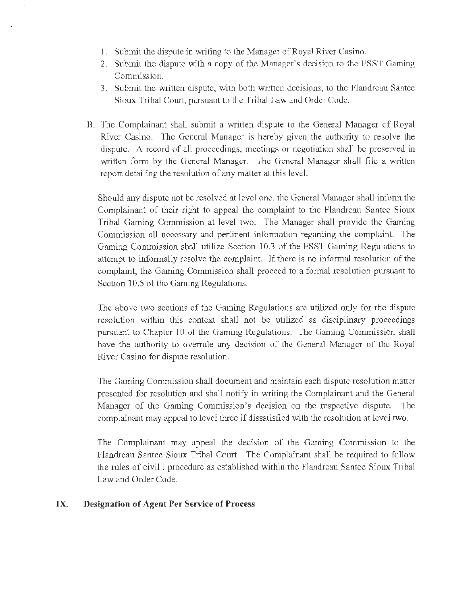- I. Submii the dispute in writing to the Manager of Royal River Casino.
- 2. Submit the dispute with a copy of the Manager's decision to the FSST Gaming Commission.
- 3. Submit the written dispute, with both written decisions, to the Flandreau Santee Sioux Tribal Court, pursuant to the Tribal Law and Order Code.
- B. The Complainant shall submit a written dispute to the General Manager of Royal River Casino. The General Manager is hereby given the authority to resolve the dispute. A record of all proceedings, meetings or negotiation shall he preserved in written form by the General Manager. The General Manager shall file a written report detailing the resolution of any matter at this level.

Should any dispute not be resolved at level one, the General Manager shall inform the Complainant of their right to appeal the complaint to the Flandreau Santee Sioux Tribal Gaming Commission at level two. The Manager shall provide the Gaming Commission all necessary and pertinent information regarding the complaint. The Gaming Commission shall utilize Section 10.3 of the FSST Gaming Regulations to attempt to informally resolve the complaint. If there is no informal resolution of the complaint, the Gaming Commission shall proceed to a formal resolution pursuant to Section 10.5 of the Gaming Regulations.

The above two sections of the Gaming Regulations arc utilized only for the dispute resolution within this context shall not be utilized as disciplinary proceedings pursuant to Chapter 10 of the Gaming Regulations. The Gaming Commission shall have the authority to overrule any decision of the General Manager of the Royal River Casino for dispute resolution.

The Gaming Commission shall docmnent and maintain each dispute resolution matter presented for resolution and shall notify in writing the Complainant and the General Manager of the Gaming Commission's decision on the respective dispute. The complainant may appeal to level lhree if dissatisfied with the resolution at level two.

The Complainant may appeal the decision of the Gaming Commission to the Flandreau Santee Sioux Tribal Court. The Complainant shall be required to follow the rules of civil 1 procedure as established within the Flandreau Santee Sioux Tribal Law and Order Code.

#### IX. Designation of Agent Per Service of Process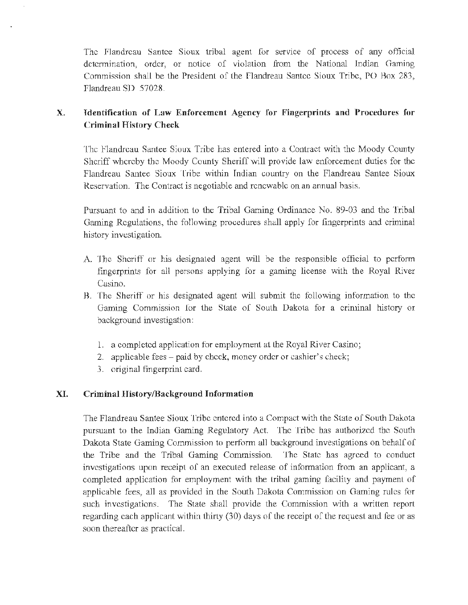The Flandreau Santee Sioux tribal agent for service of process of any official determination, order, or notice of violation from the National Indian Gaming Commission shall be the President of the flandreau Santee Sioux Tribe, PO Box 283, flandreau SD 57028.

## X. Identification of Law Enforcement Agency for Fingerprints and Procedures for Criminal History Check

The Flandreau Santee Sioux Tribe has entered into a Contract with the Moody County Sheriff whereby the Moody County Sheriff will provide law enforcement duties for the Flandreau Santee Sioux Tribe within Indian country on the Flandreau Santee Sioux Reservation. The Contract is negotiable and renewable on an annual basis.

Pursuant to and in addition tu the Tribal Gaming Ordinance No. 89-03 and the Tribal Gaming Regulations, the following procedures shall apply for fingerprints and criminal history investigation.

- A. The Sheriff or his designated agent will be the responsible official to perform fingerprints for all persons applying for a gaming license with the Royal River Casino.
- B. The Sheriff or his designated agent will submit the following information to the Gaming Commission for the State of South Dakota for a criminal history or background investigation:
	- 1. a completed application for employment at the Royal River Casino;
	- 2. applicable fees paid by check, money order or cashier's check;
	- J. original fingerprint card.

#### XI. Criminal History/Background Information

The Flandreau Santee Sioux Tribe entered into a Compact with the State of South Dakota pursuant to the Indian Gaming Regulatory Act. The Tribe has authorized the South Dakota State Gaming Commission to perform all background investigations on behalf of the Tribe and the Tribal Gaming Commission. The State has agreed to conduct investigations upon receipt of an executed release of information from an applicant, a completed application for employment with the tribal gaming facility and payment of applicable fees, all as provided in the South Dakota Commission on Gaming rules for such investigations. The State shall provide the Commission with a written report regarding cach applicant within thirty (30) days of the receipt of the request and fee or as soon thereafter as practical.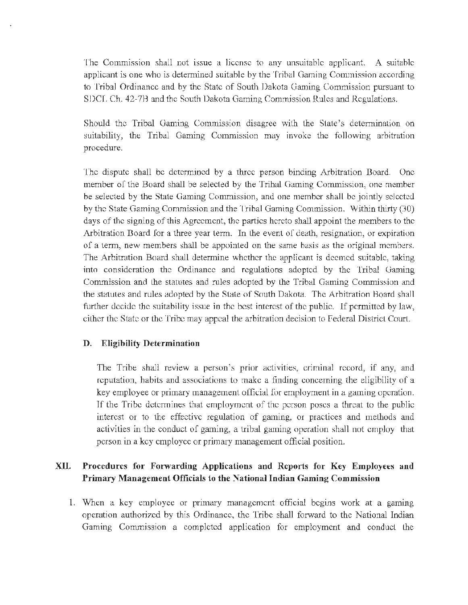The Commission shall not issue a license to any unsuitable applicant. A suitable applicant is one who is determined suitable by the Tribal Gaming Commission according to Tribal Ordinance and by the State of South Dakota Gaming Commission pursuant to SDCL Ch. 42-7H and the South Dakota Gaming Commission Rules and Regulations.

Should the Tribal Gaming Commission disagree with the State's determination on suitability, the Tribal Gaming Commission may invoke the following arbitration procedure.

The dispute shall be determined by a three person binding Arbitration Board. One member of the Board shall be selected by the Tribal Gaming Commission, one member be selected by the State Gaming Commission, and one member shall be jointly selected by the State Gaming Commission and the Tribal Gaming Commission. Within thirty (JO) days of the signing of this Agreement, the parties hereto shall appoint the members to the Arbitration Board for a three year term. In the event of death, resignation, or expiration of a term, new members shall be appointed on the same basis as the original members. The Arbitration Board shall determine whether the applicant is deemed suitable, taking into consideration the Ordinance and regulations adopted by the Tribal Gaming Commission and the statutes and rules adopted by the Tribal Gaming Commission and the statutes and rules adopted by the State of South Dakota. The Arbitration Board shall further decide the suitability issue in the best interest of the public. If permitted by law, either the State or the Tribe may appeal the arbitration decision to federal District Court.

#### D. Eligibility Determination

The Tribe shall review a person's prior activities, criminal record, if any, and reputation, habits and associatjons to make a finding concerning the eligibility of a key employee or primary management official for employment in a gaming operation. Tf the Tribe determines that employment of the person poses a threat to the public interest or to the effective regulation of gaming, or practices and methods and activities in the conduct of gaming, a tribal gaming operation shall not empJoy that person in a key employee or primary management official position.

#### XII. Procedures for Fonvarding Applications and Reports for Key Employees and Primary Management Officials to the National Indian Gaming Commission

l. When a key employee or primary management official begins work at a gaming operation authorized by this Ordinance, the Tribe shall forward to the National Indian Gaming Commission a completed application for employment and conduct the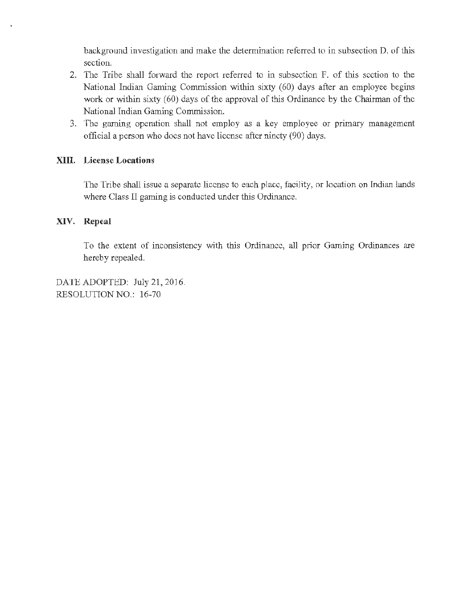background investigation and make the determination referred to in subsection D. of this section.

- 2. The Tribe shall forward the report referred to in subsection F. of this section to the National Indian Gaming Commission within sixty (60) days after an employee begins work or within sixty (60) days of the approval of this Ordinance by the Chairman of the National Indian Gaming Commission.
- 3. The gaming operation shall not employ as a key employee or primary management official a person who does not have license after ninety (90) days.

#### XIII. License Locations

The Tribe shall issue a separate license to each place, facility, or location on Indian lands where Class II gaming is conducted under this Ordinance.

#### XIV. Repeal

To the extent of inconsistency with this Ordinance, all prior Gaming Ordinances are hereby repealed.

DATE ADOPTED: July 21, 2016. RESOLUTION NO.: 16-70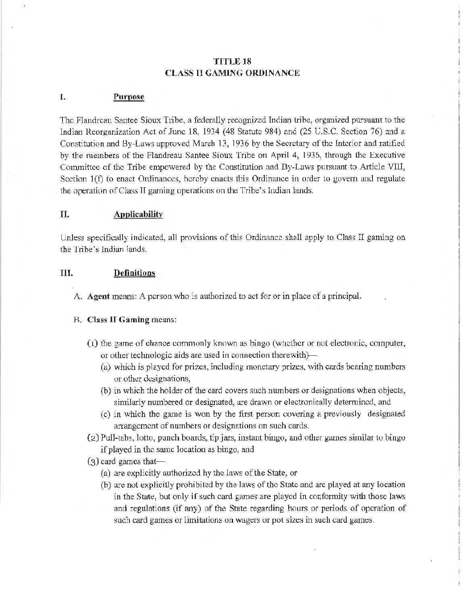#### TITLE 18 CLASS II GAMING ORDINANCE

#### I. Purpose

The Flandreau Santee Sioux Tribe, a federally recognized Indian tribe, organized pursuant to the Indian Reorganization Act of June 18, 1934 (48 Statute 984) and (25 U.S.C. Section 76) and a Constitution and By-Laws approved March 13, 1936 by the Secretary of the Interior and ratified by the members of the Flandreau Santee Sioux Tribe on April 4, 1936, through the Executive Conunittec of the Tribe empowered by the Constitution and Dy-Laws pursuant to Article VIII, Section l(f) to enact Ordinances, hereby enacts this Ordinance in order to govern und regulate the operation of Class II gaming operations on the Tribe's Indian lands.

#### II. Applicability

Unless specifically indicated, all provisions of this Ordinance shall apply to Class II gaming on the Tribe's lndian lands.

#### III. Definitions

A. Agent means: A person who is authorized to act for or in place of a principal.

#### B. Class II Gaming means:

- (1) the game of chance commonly known as bingo (whether or not electronic, computer, or other technologic aids are used in connection therewith)-
	- (a) which is played for prizes, including monetary prizes, with cards bearing numbers or other designations,
	- (b) in which the holder of the card covers such munbers or designations when objects, similarly numbered or designated, are drawn or electronically determined, and
	- (c) in which the game is won by the first per.son covering a previously designated arrangement of numbers or designations on such cards.
- $(2)$  Pull-tabs, lotto, punch boards, tip jars, instant bingo, and other games similar to bingo if played in the same location as bingo, and
- $(3)$  card games that-
	- ( a) are explicitly authorized by the laws of the State, or
	- (b) are not explicitJy prohibited hy the Jaws of the State and arc played at any location in the State, but only if such card games are played in confonnity with those laws and regulations (if any) of the State regarding hours or periods of operation of such card games or limitations on wagers or pot sizes in such card games.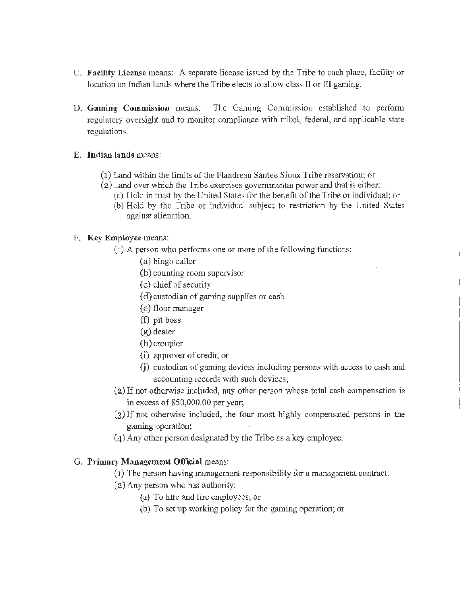- C. Facility License means: A separate license issued by the Tribe to each place, facility or location on Indian lands where the Tribe elects to allow class II or III gaming.
- D. Gaming Commission means: The Gaming Commission established to perform regulatory oversight and to monitor compliance with tribal, federal, and applicable state regulations.
- E. Indian lands means:
	- $(1)$  Land within the limits of the Flandreau Santee Sioux Tribe reservation; or
	- (2) Land over which the Tribe exercises govenunental power and that is either:
		- (a) Held in trust by the United Stales for the benefit of the Tribe or individual; or

 $\overline{a}$ 

 $\overline{1}$ 

(b) Held by the Tribe or individual subject to restriction by the United States against alienation.

#### F. Key Employee means:

- (1) A person who performs one or more of the following functions:
	- (a) bingo caller
	- (b) counting room supervisor
	- (c) chief of security
	- ( d) custodian of gaming supplies or cash
	- ( e) floor manager
	- (f) pit boss
	- (g) dealer
	- (h) croupier
	- (i) approver of credit, or
	- G) custodian of gaming devices including persons with access to cash and accounting records with such devices;
- $(2)$  If not otherwise included, any other person whose total cash compensation is in excess of  $$50,000.00$  per year;
- (3) lf not otherwise included, the four most highly compensated persons in the gaming operation;
- (4) Any other person designated by the Tribe as a key employee.

#### G. Primary Management Official means:

- (1) The person having management responsibility for a management contract.
- (2) Any person who has authority:
	- (a} To hire and fire employees; or
	- (b) To set up working policy for the gaming operation; or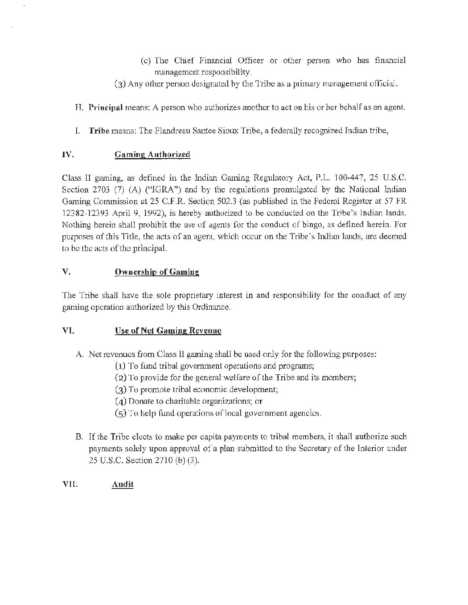- ( c) The Chief Financial Officer or other person who has financial management rcsponsi bility.
- (3) Any other person designated by the Tribe as a primacy management official.
- H. Principal means: A person who authorizes another to act on his or her behalf as an agent.
- I. Tribe means: The Flandreau Santee Sioux Tribe, a federally recognized Indian tribe,

#### IV. Gaming Authorized

 $\sim$ 

Class II gaming, as defined in the Indian Gaming Regulatory Act, P.L. 100~447, 25 U.S.C. Section 2703 (7) (A) ("IGRA") and by the regulations promulgated by the National Indian Gaming Commission at 25 C.F.R. Section 502.3 (as published in the Federal Register at 57 FR 12382-12393 April 9, 1992), is hereby authorized to be conducted on the Tribe's Indian lands. Nothing herein shall prohibit the use of agents for the conduct of bingo, as defined herein. For purposes of this Title, the acts of an agent, which occur on the Tribe's Indian lands, are deemed to be the acts of the principal.

#### v. Ownership of Gaming

The Tribe shall have the sole proprietary interest in and responsibility for the conduct of any gaming operation authorized by this Ordinance.

#### VI. Use of Net Gaming Revenue

- A. Net revenues from Class II gaming shall be used only for the following purposes:
	- $(1)$  To fund tribal government operations and programs;
	- (2) To provide for the general welfare of lhe Tribe and its members;
	- (3) To promote tribal economic development;
	- (4) Donate to charitable organizations; or
	- $(5)$  To help fund operations of local government agencies.
- B. If the Tribe elects to make per capita payments to tribal members, it shall authorize such payments solely upon approval of a plan submitted to the Secretary of the Interior under 25 U.S.C. Section 2710 (b) (3).
- Vil. Audit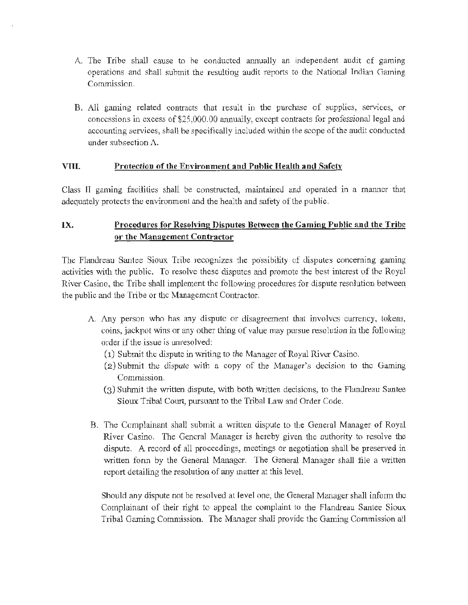- A. The Tribe shall cause to he conducted annually an independent audit of gaming operations and shall submit the resulting audit reports to the National Indian Gaming Commission.
- B. All gaming related contracts that result in the purchase of supplies, services, or concessions in excess of \$25,000.00 annually, except contracts for professional legal and accounting services, shall be specifically included within the scope of the audit conducted under subsection A.

#### VIII. Protection of the Environment and Puhlic Health and Safety

Class II gaming facilities shall be constructed, maintained and operated in a manner that adequately protects the environment and the health and safety of the public.

## IX. Procedures for Resolving Disputes Between the Gaming Public and the Tribe or the Management Contractor

The Flandreau Santee Sioux Tribe recognizes the possibility of disputes concerning gaming activities with the public. To resolve these disputes and promote the best interest of the Royal River Casino, the Tribe shall implement the following procedures for dispute resolution between the public and the Tribe or the Management Contractor.

- A Any person who has any dispute or disagreement that involves currency, tokens, coins, jackpot wins or any other thing of value may pursue resolution in the following order if the issue is unresolved:
	- (1) Submit the dispute in writing to the Manager of Royal River Casino.
	- $(2)$  Submit the dispute with a copy of the Manager's decision to the Gaming Commission.
	- (3) Suhmit the written dispute, with both written decisions, to the Flandreau Santee Sioux Tribal Court, pursuant to the Tribal Law and Order Code.
- B. The Complainant shall submit a written dispute to the General Manager of Royal River Casino. The General Manager is hereby given the authority to resolve the dispute. A record of all proceedings, meetings or negotiation shall be preserved in written form by the General Manager. The General Manager shall file a written report detailing the resolution of any matter at this level.

Should any dispute not be resolved at level one, the General Manager shall inform the Complainant of their right to appeal the complaint to the Flandreau Santee Sioux Tribal Gaming Commission. The Manager shall provide the Gaming Commission all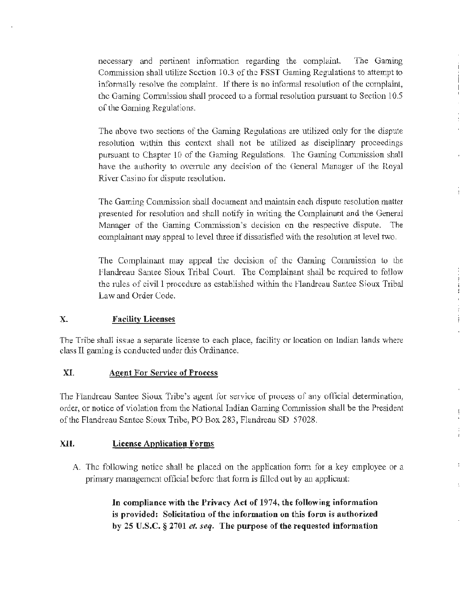necessary and pertinent information regarding the complaint. The Gaming Commission shall utilize Section 10.3 of the FSST Gaming Regulations to attempt to informally resolve the complaint. lf there is no informal resolution of the complaint, the Gaming Commission shall proceed to a formal resolution pursuant to Section 10.5 of the Gaming Regulations.

 $\overline{1}$ 

ł

 $\frac{1}{2}$  $\ddot{\cdot}$ 

÷

The above two sections of the Gaming Regulations are utilized only for the dispute resolution within this context shall not be utilized as disciplinary proceedings pursuant to Chapter 10 of the Gaming Regulations. The Gaming Commission shall have the authority to overrule any decision of the General Manager of the Royal River Casino for dispute resolution.

The Gaming Commission shall document and maintain each dispute resolution matter presented for resolution and shall notify in writing the Complainant and the General Manager of the Gaming Commission's decision on the respective dispute. The complainant may appeal to level three if dissatisfied with the resolution at level two.

The Complainant may appeal the decision of the Gaming Commission to the Flandreau Santee Sioux Tribal Court. The Complainant shall be required to foJJow the rules of civil 1 procedure as established within the Flandreau Santee Sioux Tribal Law and Order Code.

#### x. Facility Licenses

The Tribe shall issue a separate license to each place, facility or location on Indian lands where class II gaming is conducted under this Ordinance.

#### XI. Agent For Service of Process

The Flandreau Santee Sioux Tribe's agent for service of process of any official determination, order, or notice of violation from the National Indian Gaming Commission shall be the President of the Flandreau Santee Sioux Tribe, PO Box 283, Flandreau SD 57028.

#### XJI. License Application Forms

A. The following notice shall be placed on the application form for a key employee or a primary management official before that form is filled out by an applicant:

> In compliance with the Privacy Act of 1974, the following information is provided: Solicitation of the information on this form is authorized by 25 U.S.C. § 2701 *et. seq.* The purpose of the requested information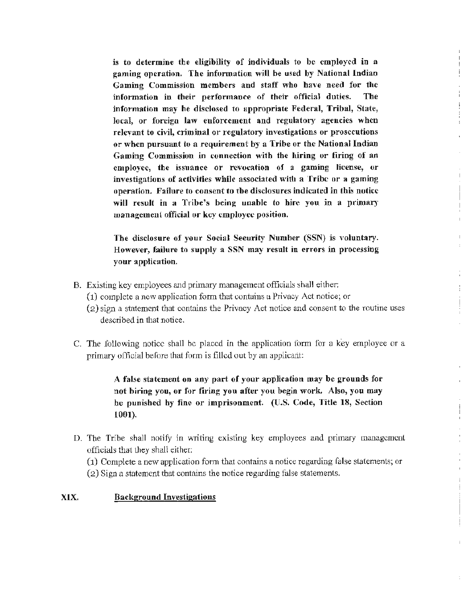is to determine the eligibility of individuals to be employed in a gaming operation. The information will be used by National lndiao Gaming Commission members and staff who have need for the information in their performance of their official duties. The information may be disclosed to appropriate Federal, Tribal, State, local, or foreign law enforcement and regulatory agencies when relevant to civil, criminal or regulatory investigations or prosecutions or when pursuant to a requirement by a Tribe or the National Indian Gaming Commission in connection with the hiring or firing of an employee, the issuance or revocation of a gaming license, or investigations of activities while associated with a Tribe or a gaming operation. Failure to consent to the disclosures indicated in this notice will result in a Tribe's being unable to hire you in a primary management official or key employee position.

The disclosure of your Social Security Number (SSN) is voluntary. However, failure to supply a SSN may result in errors in processing your application.

- B. Existing key employees and primary management officials shall either:
	- (1) complete a new application form that contain~ a Privacy Act notice; or
	- (2) sign a statement that contains the Privacy Act notice and consent to the routine uses described in that notice.

÷

C. The following notice shall be placed in the application form for a key employee or a primary official before that form is filled out by an applicant:

> A false statement on any part of your application may be grounds for not hiring you, or for firing you after you begin work. Also, you may be punished by fine or imprisonment. (U.S. Code, Title 18, Section 1001).

D. The Tribe shall notify in writing existing key employees and primary management officials that they shall either:

(1) Complete a new application fonn that contains a notice regarding false statements; or (2) Sign a statement that contains the notice regarding false statements.

#### XIX. Background Investigatious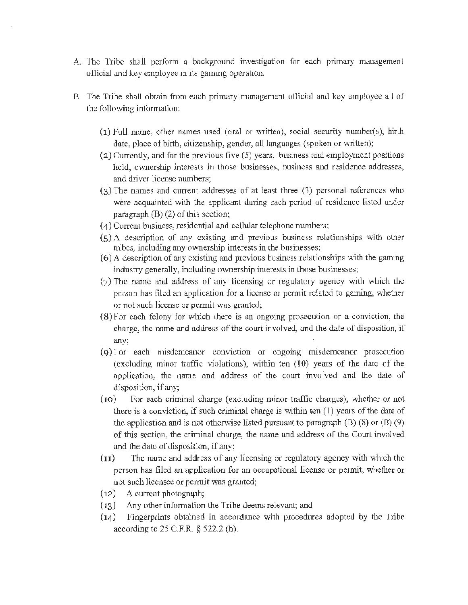- A. The Tribe shall perform a background investigation for each primary management officiaJ and key employee in its gaming operation.
- B. The Tribe shall obtain from each primary management official and key employee all of the following information:
	- $(1)$  Full name, other names used (oral or written), social security number(s), hirth date, place of birth, citizenship, gender, all languages (spoken or written);
	- $(2)$  Currently, and for the previous five  $(5)$  years, business and employment positions held, ownership interests in those businesses, business and residence addresses, and driver license numbers;
	- (3) The names and current addresses of at least three (3) personal references who were acquainted with the applicant during each period of residence listed under paragraph (B) (2) of this section;
	- (4) Currem business, residential and cellular telephone munbers;
	- $(5)$  A. description of any existing and previous business relationships with other tribes, including any ownership interests in the businesses;
	- $(6)$  A description of any existing and previous business relationships with the gaming industry generally, including ownership interests in those businesses;
	- (7) The name and address of any Licensing or regulatory agency with which the person has filed an application for a license or permit related to gaming, whether or not such license or permit was granted;
	- (8) For each felony for which there is an ongoing prosecution or a conviction, the charge, the name and address of the court involved, and the date of disposition, if any;
	- (9) Por each misdemeanor conviction or ongoing misdemeanor prosecution (excluding minor traffic violations), within ten (10) years of the date of the application, the name and address of the court involved and the date of disposition, if any;
	- (10) For each criminal charge (excluding minor traffic charges), whether or not there is a conviction, if such criminal charge is \vi.thin ten (I) years of the date of the application and is not otherwise listed pursuant to paragraph  $(B)$  (8) or  $(B)$  (9) of this section, the criminal charge, the name and address of the Court involved and the date of disposition, if any;
	- (11) The name and address of any licensing or regulatory agency with which the person has filed an application for an occupational license or pennit, whether or not such licensee or permit was granted;
	- (12) A current photograph;
	- $(13)$  Any other information the Tribe deems relevant; and
	- (14) Fingerprints obtained in accordance with procedures adopted by the Tribe according to 25 C.F.R. § 522.2 (h).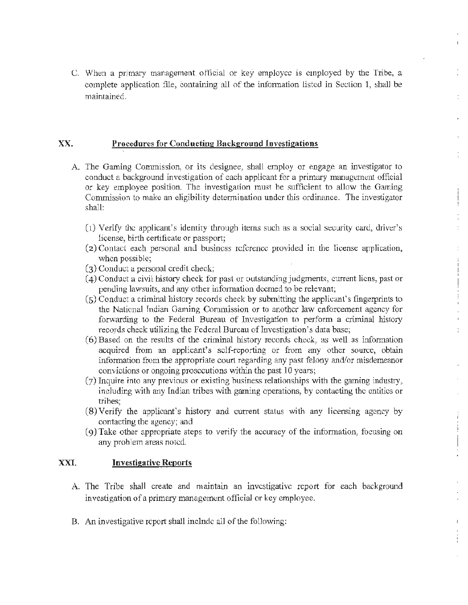C. When a primary management official or key employee is employed by the Tribe, a complete application file, containing all of the information listed in Section 1, shall be maintained.

#### xx. Procedures for Conducting Background Investigations

- A. The Gaming Commission, or its designee, shall employ or engage an investigator to conduct a background investigation of each applicant for a primary mmiagement official or key employee position. The investigation must be sufficient to allow the Gaming Commission to make an eligibility determination under this ordinance. The investigator shall:
	- $(1)$  Verify the applicant's identity through items such as a social security card, driver's license, birth certificate or passport;
	- (2) Contact each personal and business reference provided in the license application, when possible;
	- (3) Conduct a personal credit check;
	- (4) Conduct a civil history check for past or outstanding judgments, current liens, past or pending lawsuits, and any other information deemed to be relevant;
	- (5) Conduct a criminal history records check by submitting the applicant's fingerprints to the National Jndian Gaming Commission or 10 another law enforcement agency for forwarding to the Federal Bureau of Investigation to perform a criminal history records check utilizing the Federal Burcau of Investigation's data base;
	- $(6)$  Based on the results of the criminal history records check, as well as information acquired from an applicant's self-reporting or from any other source, obtain information from the appropriate court regarding any past felony and/or misdemeanor convictions or ongoing prosecutions within the past 10 years;
	- (7) Inquire into any previous or existing business relationships with the gaming industry, including with any Indian tribes with gaming operations, by contacting the entities or tribes;
	- $(8)$  Verify the applicant's history and current status with any licensing agency by contacting the agency; and
	- (9)Take other appropriate steps to verify the accuracy of the information, focusing on any problem areas noted.

#### :XXI. Investigative Reports

- A. The Tribe shall create and maintain an investigative report for each background investigation of a primary management official or key employee.
- B. An investigative report shall include all of the following: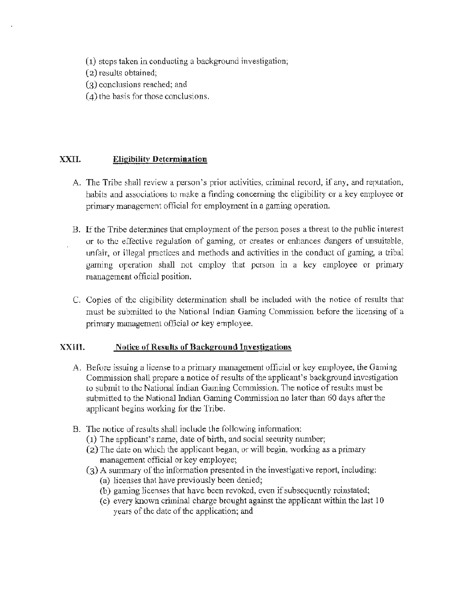- (1) steps taken in conducting a background investigation;
- (2) results obtained;
- (3) conclusions reached; and
- $(4)$  the basis for those conclusions.

#### XXII. **Eligibility Determination**

- A. The Tribe shall review a person's prior activities, criminal record, if any, and reputation, habits and associations to make a finding concerning the eligibility or a key employee or primary management official for employment in a gaming operation.
- B. If the Tribe detennines that employment of the person poses a threat to the public interest or to the effective regulation of gaming, or creates or enhances dangers of unsuitable, unfair, or illegal practices and methods and activities in the conduct of gaming, a tribal gaming operation shall not employ that person in a key employee or primary management official position.
- C. Copies of the eligibility determination shall be included with the notice of results that must be submilted to the National Indian Gaming Commission before the licensing of a primary management official or key employee.

#### XXlll. Notice of Results of Background Investigations

- A. Before issuing a license to a primary management official or key employee, the Gaming Commission shall prepare a notice of results of the applicant's background investigation to submit to the National Indian Gaming Commission. The notice of results must be submitted to the National Indian Gaming Commission no later than 60 days after the applicant begins working for the Tribe.
- B. The notice of results shall include the following information:
	- $(1)$  The applicant's name, date of birth, and social security number;
	- (2) The date on which the applicant began, or will begin, working as a primary management official or key employee;
	- $(3)$  A summary of the information presented in the investigative report, including:
		- (a) licenses that have previously been denied;
		- (b) gaming licenses that have been revoked, even if subsequently reinstated;
		- ( c) every lmown criminal charge brought against the applicant within the last 10 years of the date of the application; and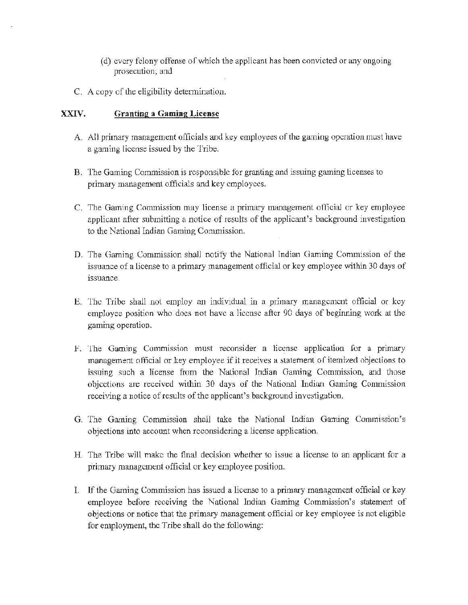- ( d) every felony offen.se of which the applicant has been convicted or any ongoing prosecution; and
- C. A copy of the eligibility determination.

#### XXIV. Granting a Gaming License

- A. All primary management officials and key employees of the gaming operation must have a gaming license issued by the Tribe.
- B. The Gaming Commission is responsible for granting and issuing gaming licenses to primary management officials and key employees.
- C. The Gaming Commission may license a primary management official or key employee applicant after submitting a notice of results of the applicant's background investigation to the National Indian Gaming Conunission.
- D. The Gaming Commission shall notify the National Indian Gaming Commission of the issuance of a license to a primary management official or key employee within 30 days of issuance.
- E. The Tribe shall not employ an individual in a primary management official or key employee position who does not have a license after 90 days of beginning work at the gaming operation.
- F. The Gaming Commission must reconsider a license application for a primary management official or key employee if it receives a statement of itemized objections to issuing such a license from the National Indian Gaming Commission, and those objections are received within 30 days of the National Indian Gaming Commission receiving a notice of results of the applicant's background investigation.
- G. The Gaming Commission shall take the National Indian Gaming Commission's objections into account when reconsidering a license application.
- H. The Tribe will make the final decision whether to issue a license to an applicant for a primary management official or key employee position.
- I. lf the Gaming Commission has issued a license to a primary management official or key employee before receiving the National Indian Gaming Commission's statement of objections or notice that the primary management official or key employee is not eligible for employment, the Tribe shall do the following: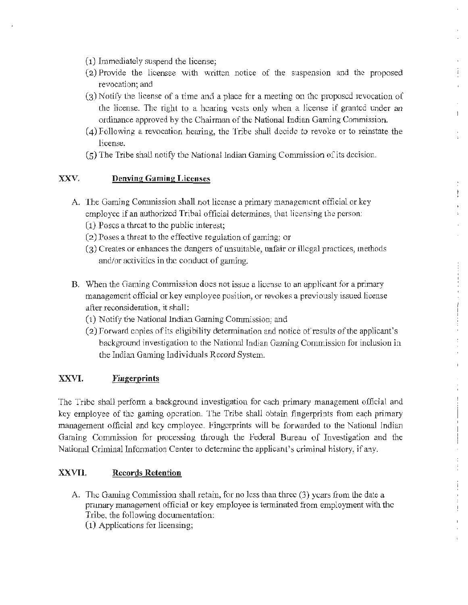- (1) Immediately suspend the license;
- (2) Provide the licensee with written notice of the suspension and the proposed revocation; and
- (3) Notify the License of a time and a place for a meeting on the proposed revocation of the license. The right to a hearing vests only when a license if granted under an ordinance approved hy the Chairman of the National Indian Gaming Commission.

 $\mathbf{1}$ 

- $(4)$  Following a revocation hearing, the Tribe shall decide to revoke or to reinstate the license.
- (5) The Tribe shall notify the National Indian Gaming Commission of its decision.

#### xxv. Denving Gaming Licenses

- A. The Gaming Commission shall not license a primary management official or key employee if an authorized Tribal official determines, that licensing the person:
	- $(1)$  Poses a threat to the public interest;
	- $(2)$  Poses a threat to the effective regulation of gaming; or
	- (3) Creates or enhances the dangers of unsuitable, unfair or illegal practices, methods and/or activities in the conduct of gaming.
- B. When the Gaming Commission does not issue a license to an applicant for a primary management official or key employee position, or revokes a previously issued license after reconsideration, it shall:
	- (1) Notify the National Indian Gaming Commission; and
	- (2) Porward copies of its eligibility determination and notice of results of the applicant's background investigation to the National Indian Gaming Conunission for inclusion in the Indian Gaming Individuals Record System.

#### XXVI. **Fingerprints**

The Tribe shall petform a background investigation for each primary management official and key employee of the gaming operation. The Tribe shall obtain. fingerprints from each primary management official and key employee. Fingerprints will be forwarded to the National Indian Garning Commission for processing through the Federal Bureau of Investigation and the National Criminal Information Center to determine the applicant's criminal history, if any.

#### XXVII. Records Retention

A. The Gaming Commission shall retain, for no Jess than three (3) years from the date a primary management official or key employee is tenninated from employment with the Tribe, tbe following docwnentation: (1) Applications for licensing;